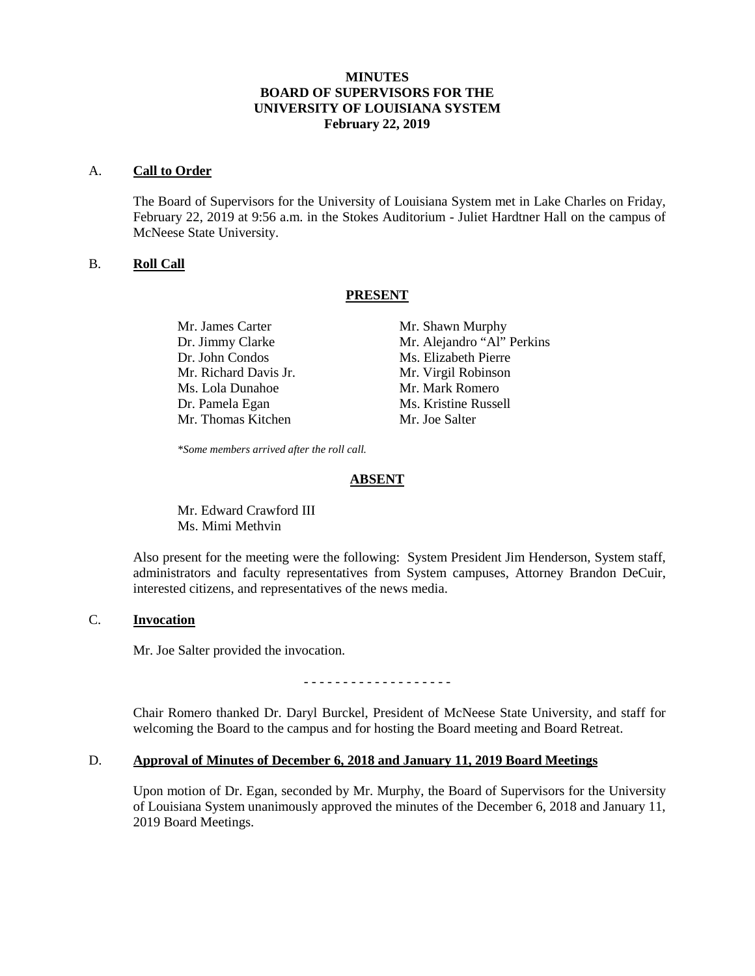# **MINUTES BOARD OF SUPERVISORS FOR THE UNIVERSITY OF LOUISIANA SYSTEM February 22, 2019**

#### A. **Call to Order**

The Board of Supervisors for the University of Louisiana System met in Lake Charles on Friday, February 22, 2019 at 9:56 a.m. in the Stokes Auditorium - Juliet Hardtner Hall on the campus of McNeese State University.

## B. **Roll Call**

## **PRESENT**

Mr. James Carter Mr. Shawn Murphy Dr. John Condos Ms. Elizabeth Pierre Mr. Richard Davis Jr. Mr. Virgil Robinson Ms. Lola Dunahoe Mr. Mark Romero Dr. Pamela Egan Ms. Kristine Russell Mr. Thomas Kitchen Mr. Joe Salter

Dr. Jimmy Clarke Mr. Alejandro "Al" Perkins

*\*Some members arrived after the roll call.*

#### **ABSENT**

Mr. Edward Crawford III Ms. Mimi Methvin

Also present for the meeting were the following: System President Jim Henderson, System staff, administrators and faculty representatives from System campuses, Attorney Brandon DeCuir, interested citizens, and representatives of the news media.

# C. **Invocation**

Mr. Joe Salter provided the invocation.

- - - - - - - - - - - - - - - - - - -

Chair Romero thanked Dr. Daryl Burckel, President of McNeese State University, and staff for welcoming the Board to the campus and for hosting the Board meeting and Board Retreat.

# D. **Approval of Minutes of December 6, 2018 and January 11, 2019 Board Meetings**

Upon motion of Dr. Egan, seconded by Mr. Murphy, the Board of Supervisors for the University of Louisiana System unanimously approved the minutes of the December 6, 2018 and January 11, 2019 Board Meetings.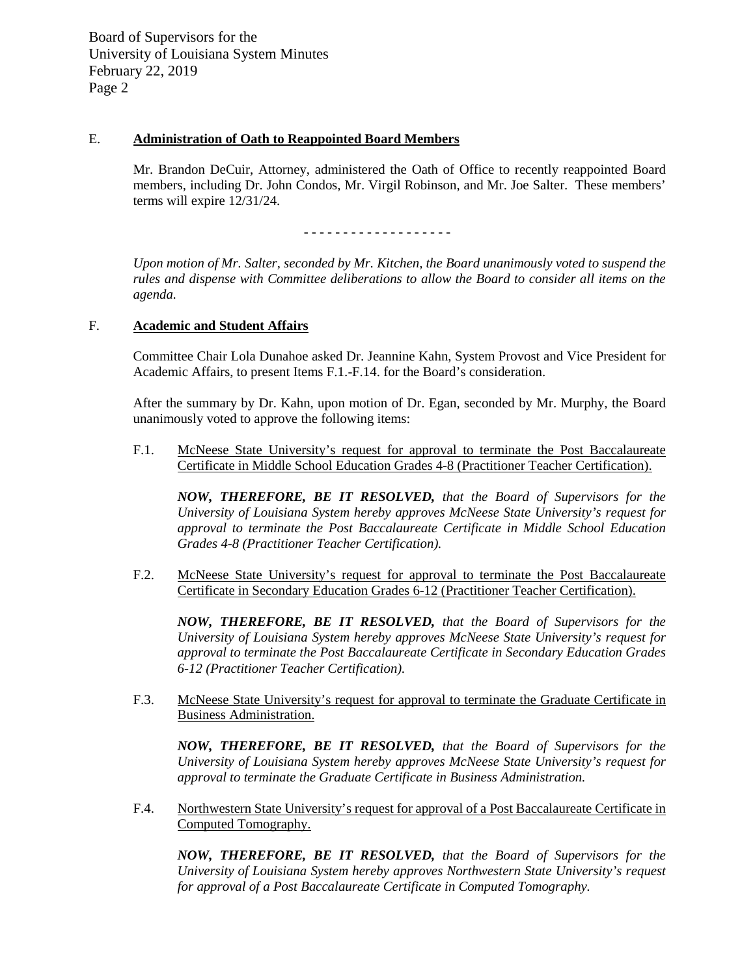# E. **Administration of Oath to Reappointed Board Members**

Mr. Brandon DeCuir, Attorney, administered the Oath of Office to recently reappointed Board members, including Dr. John Condos, Mr. Virgil Robinson, and Mr. Joe Salter. These members' terms will expire 12/31/24.

- - - - - - - - - - - - - - - - - - -

*Upon motion of Mr. Salter, seconded by Mr. Kitchen, the Board unanimously voted to suspend the rules and dispense with Committee deliberations to allow the Board to consider all items on the agenda.*

## F. **Academic and Student Affairs**

Committee Chair Lola Dunahoe asked Dr. Jeannine Kahn, System Provost and Vice President for Academic Affairs, to present Items F.1.-F.14. for the Board's consideration.

After the summary by Dr. Kahn, upon motion of Dr. Egan, seconded by Mr. Murphy, the Board unanimously voted to approve the following items:

F.1. McNeese State University's request for approval to terminate the Post Baccalaureate Certificate in Middle School Education Grades 4-8 (Practitioner Teacher Certification).

*NOW, THEREFORE, BE IT RESOLVED, that the Board of Supervisors for the University of Louisiana System hereby approves McNeese State University's request for approval to terminate the Post Baccalaureate Certificate in Middle School Education Grades 4-8 (Practitioner Teacher Certification).*

F.2. McNeese State University's request for approval to terminate the Post Baccalaureate Certificate in Secondary Education Grades 6-12 (Practitioner Teacher Certification).

*NOW, THEREFORE, BE IT RESOLVED, that the Board of Supervisors for the University of Louisiana System hereby approves McNeese State University's request for approval to terminate the Post Baccalaureate Certificate in Secondary Education Grades 6-12 (Practitioner Teacher Certification).*

F.3. McNeese State University's request for approval to terminate the Graduate Certificate in Business Administration.

*NOW, THEREFORE, BE IT RESOLVED, that the Board of Supervisors for the University of Louisiana System hereby approves McNeese State University's request for approval to terminate the Graduate Certificate in Business Administration.* 

F.4. Northwestern State University's request for approval of a Post Baccalaureate Certificate in Computed Tomography.

*NOW, THEREFORE, BE IT RESOLVED, that the Board of Supervisors for the University of Louisiana System hereby approves Northwestern State University's request for approval of a Post Baccalaureate Certificate in Computed Tomography.*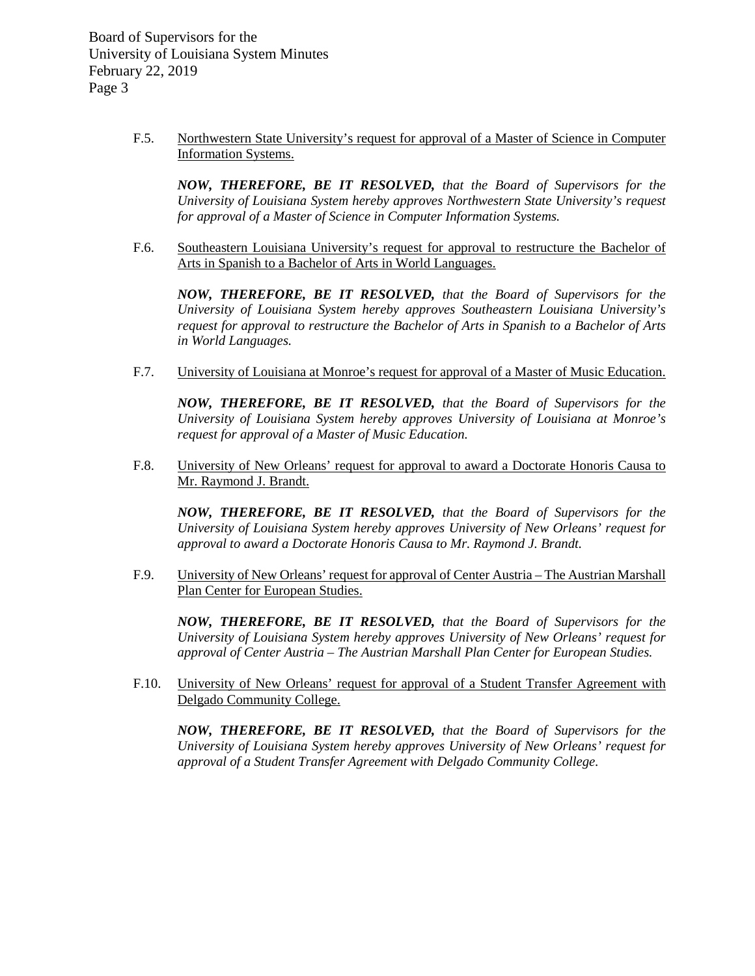> F.5. Northwestern State University's request for approval of a Master of Science in Computer Information Systems.

*NOW, THEREFORE, BE IT RESOLVED, that the Board of Supervisors for the University of Louisiana System hereby approves Northwestern State University's request for approval of a Master of Science in Computer Information Systems.*

F.6. Southeastern Louisiana University's request for approval to restructure the Bachelor of Arts in Spanish to a Bachelor of Arts in World Languages.

*NOW, THEREFORE, BE IT RESOLVED, that the Board of Supervisors for the University of Louisiana System hereby approves Southeastern Louisiana University's request for approval to restructure the Bachelor of Arts in Spanish to a Bachelor of Arts in World Languages.*

F.7. University of Louisiana at Monroe's request for approval of a Master of Music Education.

*NOW, THEREFORE, BE IT RESOLVED, that the Board of Supervisors for the University of Louisiana System hereby approves University of Louisiana at Monroe's request for approval of a Master of Music Education.*

F.8. University of New Orleans' request for approval to award a Doctorate Honoris Causa to Mr. Raymond J. Brandt.

*NOW, THEREFORE, BE IT RESOLVED, that the Board of Supervisors for the University of Louisiana System hereby approves University of New Orleans' request for approval to award a Doctorate Honoris Causa to Mr. Raymond J. Brandt.*

F.9. University of New Orleans' request for approval of Center Austria – The Austrian Marshall Plan Center for European Studies.

*NOW, THEREFORE, BE IT RESOLVED, that the Board of Supervisors for the University of Louisiana System hereby approves University of New Orleans' request for approval of Center Austria – The Austrian Marshall Plan Center for European Studies.*

F.10. University of New Orleans' request for approval of a Student Transfer Agreement with Delgado Community College.

*NOW, THEREFORE, BE IT RESOLVED, that the Board of Supervisors for the University of Louisiana System hereby approves University of New Orleans' request for approval of a Student Transfer Agreement with Delgado Community College.*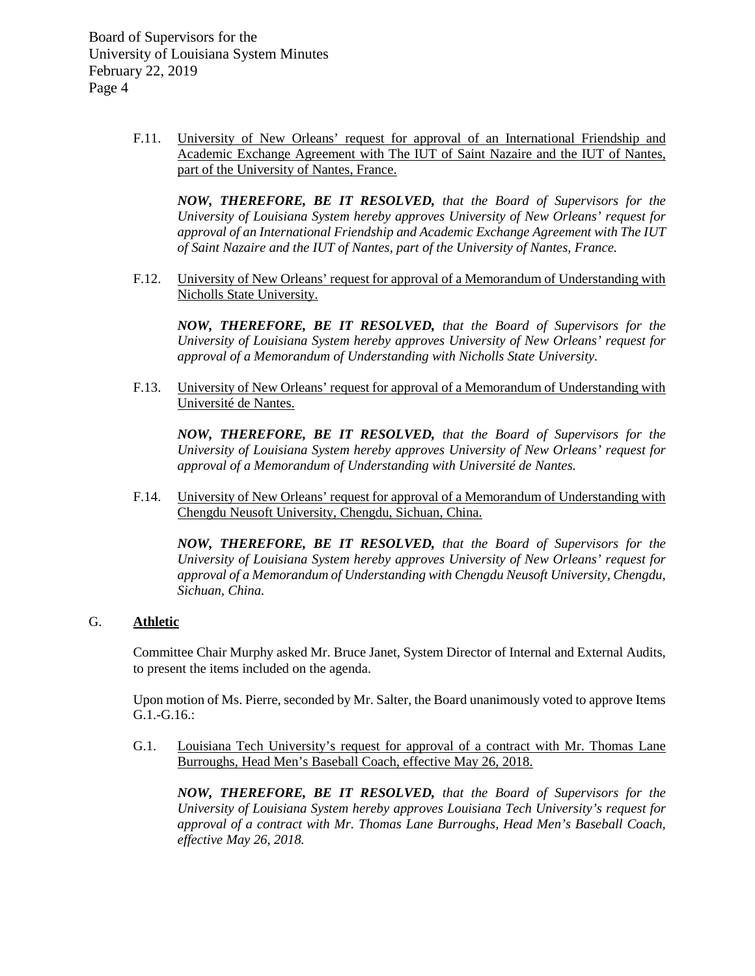> F.11. University of New Orleans' request for approval of an International Friendship and Academic Exchange Agreement with The IUT of Saint Nazaire and the IUT of Nantes, part of the University of Nantes, France.

*NOW, THEREFORE, BE IT RESOLVED, that the Board of Supervisors for the University of Louisiana System hereby approves University of New Orleans' request for approval of an International Friendship and Academic Exchange Agreement with The IUT of Saint Nazaire and the IUT of Nantes, part of the University of Nantes, France.*

F.12. University of New Orleans' request for approval of a Memorandum of Understanding with Nicholls State University.

*NOW, THEREFORE, BE IT RESOLVED, that the Board of Supervisors for the University of Louisiana System hereby approves University of New Orleans' request for approval of a Memorandum of Understanding with Nicholls State University.* 

F.13. University of New Orleans' request for approval of a Memorandum of Understanding with Université de Nantes.

*NOW, THEREFORE, BE IT RESOLVED, that the Board of Supervisors for the University of Louisiana System hereby approves University of New Orleans' request for approval of a Memorandum of Understanding with Université de Nantes.* 

F.14. University of New Orleans' request for approval of a Memorandum of Understanding with Chengdu Neusoft University, Chengdu, Sichuan, China.

*NOW, THEREFORE, BE IT RESOLVED, that the Board of Supervisors for the University of Louisiana System hereby approves University of New Orleans' request for approval of a Memorandum of Understanding with Chengdu Neusoft University, Chengdu, Sichuan, China.*

# G. **Athletic**

Committee Chair Murphy asked Mr. Bruce Janet, System Director of Internal and External Audits, to present the items included on the agenda.

Upon motion of Ms. Pierre, seconded by Mr. Salter, the Board unanimously voted to approve Items G.1.-G.16.:

G.1. Louisiana Tech University's request for approval of a contract with Mr. Thomas Lane Burroughs, Head Men's Baseball Coach, effective May 26, 2018.

*NOW, THEREFORE, BE IT RESOLVED, that the Board of Supervisors for the University of Louisiana System hereby approves Louisiana Tech University's request for approval of a contract with Mr. Thomas Lane Burroughs, Head Men's Baseball Coach, effective May 26, 2018.*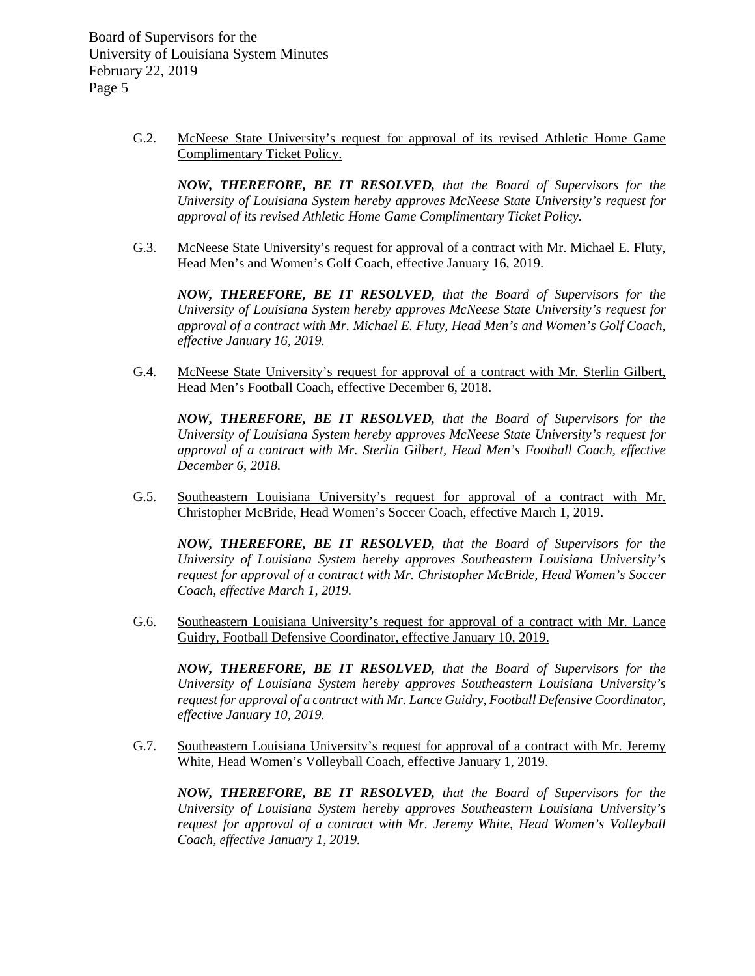> G.2. McNeese State University's request for approval of its revised Athletic Home Game Complimentary Ticket Policy.

*NOW, THEREFORE, BE IT RESOLVED, that the Board of Supervisors for the University of Louisiana System hereby approves McNeese State University's request for approval of its revised Athletic Home Game Complimentary Ticket Policy.*

G.3. McNeese State University's request for approval of a contract with Mr. Michael E. Fluty, Head Men's and Women's Golf Coach, effective January 16, 2019.

*NOW, THEREFORE, BE IT RESOLVED, that the Board of Supervisors for the University of Louisiana System hereby approves McNeese State University's request for approval of a contract with Mr. Michael E. Fluty, Head Men's and Women's Golf Coach, effective January 16, 2019.*

G.4. McNeese State University's request for approval of a contract with Mr. Sterlin Gilbert, Head Men's Football Coach, effective December 6, 2018.

*NOW, THEREFORE, BE IT RESOLVED, that the Board of Supervisors for the University of Louisiana System hereby approves McNeese State University's request for approval of a contract with Mr. Sterlin Gilbert, Head Men's Football Coach, effective December 6, 2018.*

G.5. Southeastern Louisiana University's request for approval of a contract with Mr. Christopher McBride, Head Women's Soccer Coach, effective March 1, 2019.

*NOW, THEREFORE, BE IT RESOLVED, that the Board of Supervisors for the University of Louisiana System hereby approves Southeastern Louisiana University's request for approval of a contract with Mr. Christopher McBride, Head Women's Soccer Coach, effective March 1, 2019.*

G.6. Southeastern Louisiana University's request for approval of a contract with Mr. Lance Guidry, Football Defensive Coordinator, effective January 10, 2019.

*NOW, THEREFORE, BE IT RESOLVED, that the Board of Supervisors for the University of Louisiana System hereby approves Southeastern Louisiana University's request for approval of a contract with Mr. Lance Guidry, Football Defensive Coordinator, effective January 10, 2019.*

G.7. Southeastern Louisiana University's request for approval of a contract with Mr. Jeremy White, Head Women's Volleyball Coach, effective January 1, 2019.

*NOW, THEREFORE, BE IT RESOLVED, that the Board of Supervisors for the University of Louisiana System hereby approves Southeastern Louisiana University's request for approval of a contract with Mr. Jeremy White, Head Women's Volleyball Coach, effective January 1, 2019.*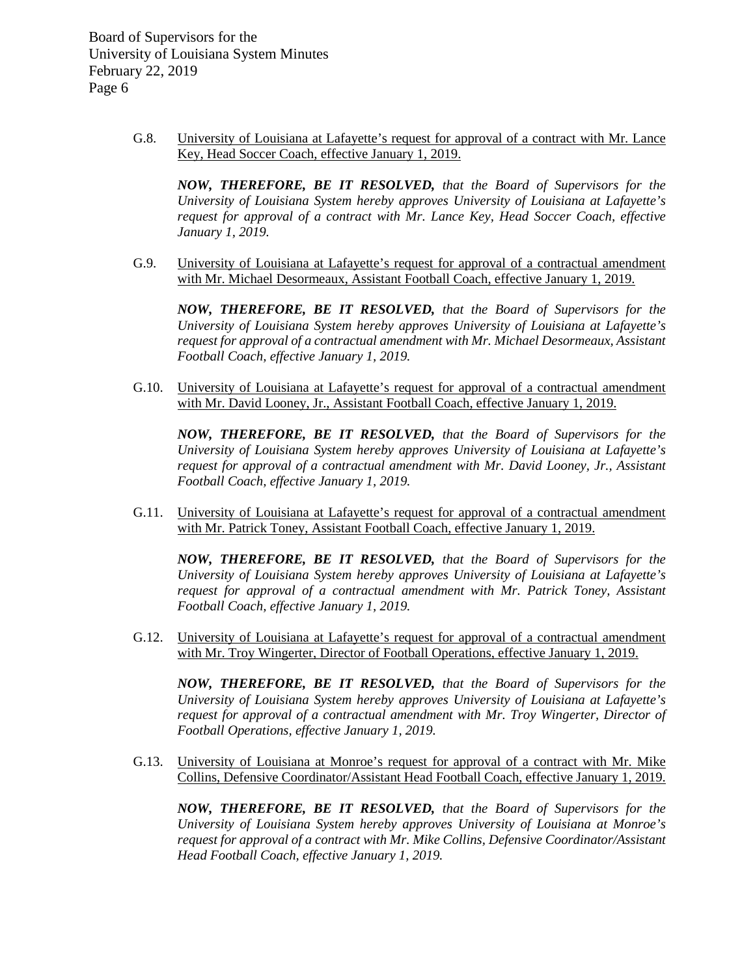> G.8. University of Louisiana at Lafayette's request for approval of a contract with Mr. Lance Key, Head Soccer Coach, effective January 1, 2019.

*NOW, THEREFORE, BE IT RESOLVED, that the Board of Supervisors for the University of Louisiana System hereby approves University of Louisiana at Lafayette's request for approval of a contract with Mr. Lance Key, Head Soccer Coach, effective January 1, 2019.*

G.9. University of Louisiana at Lafayette's request for approval of a contractual amendment with Mr. Michael Desormeaux, Assistant Football Coach, effective January 1, 2019.

*NOW, THEREFORE, BE IT RESOLVED, that the Board of Supervisors for the University of Louisiana System hereby approves University of Louisiana at Lafayette's request for approval of a contractual amendment with Mr. Michael Desormeaux, Assistant Football Coach, effective January 1, 2019.*

G.10. University of Louisiana at Lafayette's request for approval of a contractual amendment with Mr. David Looney, Jr., Assistant Football Coach, effective January 1, 2019.

*NOW, THEREFORE, BE IT RESOLVED, that the Board of Supervisors for the University of Louisiana System hereby approves University of Louisiana at Lafayette's request for approval of a contractual amendment with Mr. David Looney, Jr., Assistant Football Coach, effective January 1, 2019.*

G.11. University of Louisiana at Lafayette's request for approval of a contractual amendment with Mr. Patrick Toney, Assistant Football Coach, effective January 1, 2019.

*NOW, THEREFORE, BE IT RESOLVED, that the Board of Supervisors for the University of Louisiana System hereby approves University of Louisiana at Lafayette's request for approval of a contractual amendment with Mr. Patrick Toney, Assistant Football Coach, effective January 1, 2019.*

G.12. University of Louisiana at Lafayette's request for approval of a contractual amendment with Mr. Troy Wingerter, Director of Football Operations, effective January 1, 2019.

*NOW, THEREFORE, BE IT RESOLVED, that the Board of Supervisors for the University of Louisiana System hereby approves University of Louisiana at Lafayette's request for approval of a contractual amendment with Mr. Troy Wingerter, Director of Football Operations, effective January 1, 2019.*

G.13. University of Louisiana at Monroe's request for approval of a contract with Mr. Mike Collins, Defensive Coordinator/Assistant Head Football Coach, effective January 1, 2019.

*NOW, THEREFORE, BE IT RESOLVED, that the Board of Supervisors for the University of Louisiana System hereby approves University of Louisiana at Monroe's request for approval of a contract with Mr. Mike Collins, Defensive Coordinator/Assistant Head Football Coach, effective January 1, 2019.*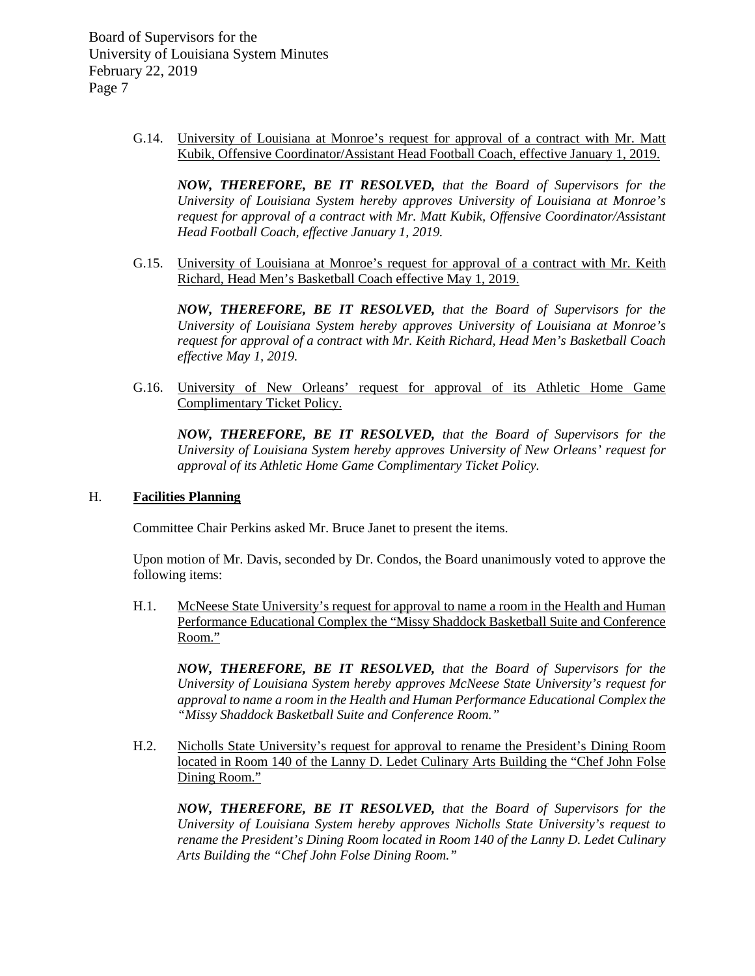> G.14. University of Louisiana at Monroe's request for approval of a contract with Mr. Matt Kubik, Offensive Coordinator/Assistant Head Football Coach, effective January 1, 2019.

*NOW, THEREFORE, BE IT RESOLVED, that the Board of Supervisors for the University of Louisiana System hereby approves University of Louisiana at Monroe's request for approval of a contract with Mr. Matt Kubik, Offensive Coordinator/Assistant Head Football Coach, effective January 1, 2019.*

G.15. University of Louisiana at Monroe's request for approval of a contract with Mr. Keith Richard, Head Men's Basketball Coach effective May 1, 2019.

*NOW, THEREFORE, BE IT RESOLVED, that the Board of Supervisors for the University of Louisiana System hereby approves University of Louisiana at Monroe's request for approval of a contract with Mr. Keith Richard, Head Men's Basketball Coach effective May 1, 2019.*

G.16. University of New Orleans' request for approval of its Athletic Home Game Complimentary Ticket Policy.

*NOW, THEREFORE, BE IT RESOLVED, that the Board of Supervisors for the University of Louisiana System hereby approves University of New Orleans' request for approval of its Athletic Home Game Complimentary Ticket Policy.*

#### H. **Facilities Planning**

Committee Chair Perkins asked Mr. Bruce Janet to present the items.

Upon motion of Mr. Davis, seconded by Dr. Condos, the Board unanimously voted to approve the following items:

H.1. McNeese State University's request for approval to name a room in the Health and Human Performance Educational Complex the "Missy Shaddock Basketball Suite and Conference Room."

*NOW, THEREFORE, BE IT RESOLVED, that the Board of Supervisors for the University of Louisiana System hereby approves McNeese State University's request for approval to name a room in the Health and Human Performance Educational Complex the "Missy Shaddock Basketball Suite and Conference Room."*

H.2. Nicholls State University's request for approval to rename the President's Dining Room located in Room 140 of the Lanny D. Ledet Culinary Arts Building the "Chef John Folse Dining Room."

*NOW, THEREFORE, BE IT RESOLVED, that the Board of Supervisors for the University of Louisiana System hereby approves Nicholls State University's request to rename the President's Dining Room located in Room 140 of the Lanny D. Ledet Culinary Arts Building the "Chef John Folse Dining Room."*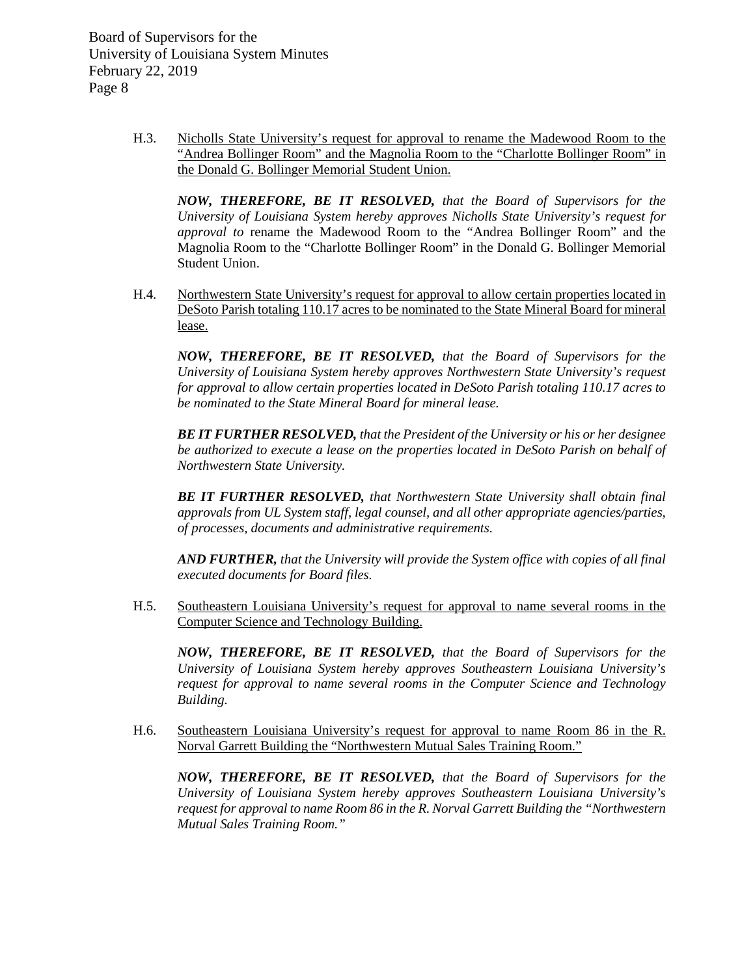> H.3. Nicholls State University's request for approval to rename the Madewood Room to the "Andrea Bollinger Room" and the Magnolia Room to the "Charlotte Bollinger Room" in the Donald G. Bollinger Memorial Student Union.

*NOW, THEREFORE, BE IT RESOLVED, that the Board of Supervisors for the University of Louisiana System hereby approves Nicholls State University's request for approval to* rename the Madewood Room to the "Andrea Bollinger Room" and the Magnolia Room to the "Charlotte Bollinger Room" in the Donald G. Bollinger Memorial Student Union.

H.4. Northwestern State University's request for approval to allow certain properties located in DeSoto Parish totaling 110.17 acres to be nominated to the State Mineral Board for mineral lease.

*NOW, THEREFORE, BE IT RESOLVED, that the Board of Supervisors for the University of Louisiana System hereby approves Northwestern State University's request for approval to allow certain properties located in DeSoto Parish totaling 110.17 acres to be nominated to the State Mineral Board for mineral lease.* 

*BE IT FURTHER RESOLVED, that the President of the University or his or her designee be authorized to execute a lease on the properties located in DeSoto Parish on behalf of Northwestern State University.*

*BE IT FURTHER RESOLVED, that Northwestern State University shall obtain final approvals from UL System staff, legal counsel, and all other appropriate agencies/parties, of processes, documents and administrative requirements.*

*AND FURTHER, that the University will provide the System office with copies of all final executed documents for Board files.*

H.5. Southeastern Louisiana University's request for approval to name several rooms in the Computer Science and Technology Building.

*NOW, THEREFORE, BE IT RESOLVED, that the Board of Supervisors for the University of Louisiana System hereby approves Southeastern Louisiana University's request for approval to name several rooms in the Computer Science and Technology Building.*

H.6. Southeastern Louisiana University's request for approval to name Room 86 in the R. Norval Garrett Building the "Northwestern Mutual Sales Training Room."

*NOW, THEREFORE, BE IT RESOLVED, that the Board of Supervisors for the University of Louisiana System hereby approves Southeastern Louisiana University's request for approval to name Room 86 in the R. Norval Garrett Building the "Northwestern Mutual Sales Training Room."*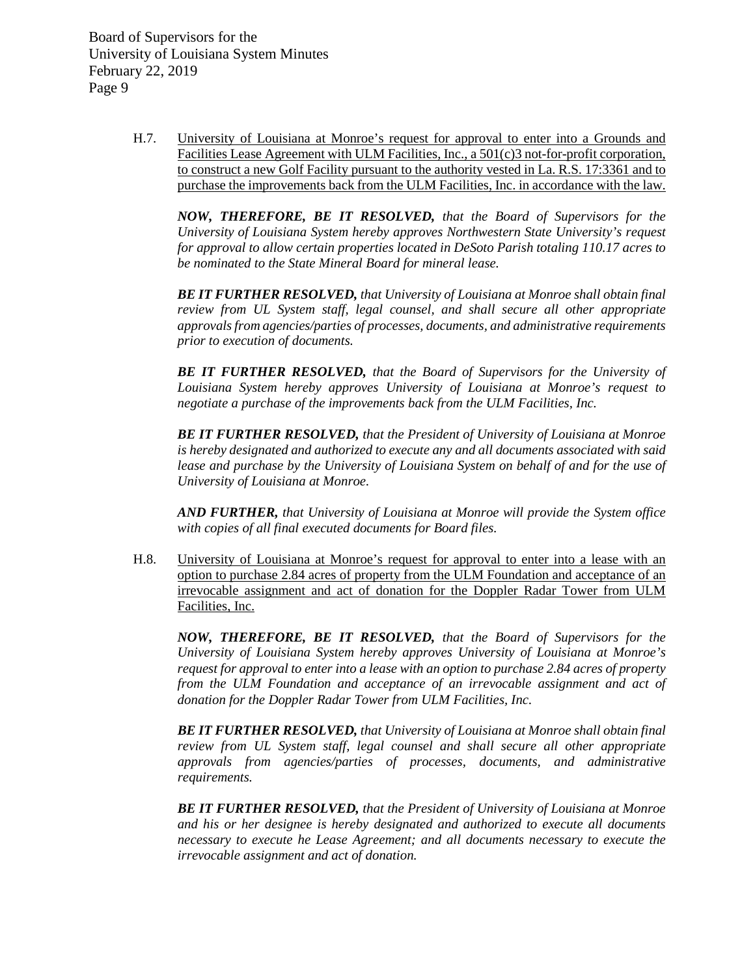> H.7. University of Louisiana at Monroe's request for approval to enter into a Grounds and Facilities Lease Agreement with ULM Facilities, Inc., a 501(c)3 not-for-profit corporation, to construct a new Golf Facility pursuant to the authority vested in La. R.S. 17:3361 and to purchase the improvements back from the ULM Facilities, Inc. in accordance with the law.

*NOW, THEREFORE, BE IT RESOLVED, that the Board of Supervisors for the University of Louisiana System hereby approves Northwestern State University's request for approval to allow certain properties located in DeSoto Parish totaling 110.17 acres to be nominated to the State Mineral Board for mineral lease.* 

*BE IT FURTHER RESOLVED, that University of Louisiana at Monroe shall obtain final review from UL System staff, legal counsel, and shall secure all other appropriate approvals from agencies/parties of processes, documents, and administrative requirements prior to execution of documents.*

*BE IT FURTHER RESOLVED, that the Board of Supervisors for the University of Louisiana System hereby approves University of Louisiana at Monroe's request to negotiate a purchase of the improvements back from the ULM Facilities, Inc.*

*BE IT FURTHER RESOLVED, that the President of University of Louisiana at Monroe is hereby designated and authorized to execute any and all documents associated with said lease and purchase by the University of Louisiana System on behalf of and for the use of University of Louisiana at Monroe.*

*AND FURTHER, that University of Louisiana at Monroe will provide the System office with copies of all final executed documents for Board files.*

H.8. University of Louisiana at Monroe's request for approval to enter into a lease with an option to purchase 2.84 acres of property from the ULM Foundation and acceptance of an irrevocable assignment and act of donation for the Doppler Radar Tower from ULM Facilities, Inc.

*NOW, THEREFORE, BE IT RESOLVED, that the Board of Supervisors for the University of Louisiana System hereby approves University of Louisiana at Monroe's request for approval to enter into a lease with an option to purchase 2.84 acres of property from the ULM Foundation and acceptance of an irrevocable assignment and act of donation for the Doppler Radar Tower from ULM Facilities, Inc.*

*BE IT FURTHER RESOLVED, that University of Louisiana at Monroe shall obtain final review from UL System staff, legal counsel and shall secure all other appropriate approvals from agencies/parties of processes, documents, and administrative requirements.*

*BE IT FURTHER RESOLVED, that the President of University of Louisiana at Monroe and his or her designee is hereby designated and authorized to execute all documents necessary to execute he Lease Agreement; and all documents necessary to execute the irrevocable assignment and act of donation.*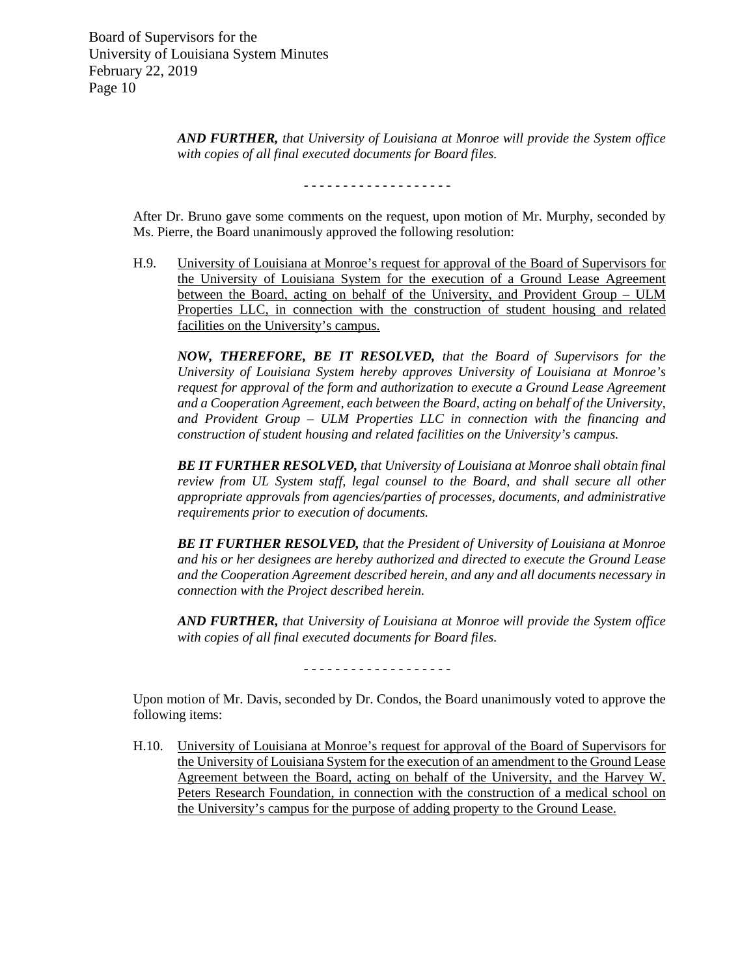> *AND FURTHER, that University of Louisiana at Monroe will provide the System office with copies of all final executed documents for Board files.*

> > - - - - - - - - - - - - - - - - - - -

After Dr. Bruno gave some comments on the request, upon motion of Mr. Murphy, seconded by Ms. Pierre, the Board unanimously approved the following resolution:

H.9. University of Louisiana at Monroe's request for approval of the Board of Supervisors for the University of Louisiana System for the execution of a Ground Lease Agreement between the Board, acting on behalf of the University, and Provident Group – ULM Properties LLC, in connection with the construction of student housing and related facilities on the University's campus.

*NOW, THEREFORE, BE IT RESOLVED, that the Board of Supervisors for the University of Louisiana System hereby approves University of Louisiana at Monroe's request for approval of the form and authorization to execute a Ground Lease Agreement and a Cooperation Agreement, each between the Board, acting on behalf of the University, and Provident Group – ULM Properties LLC in connection with the financing and construction of student housing and related facilities on the University's campus.* 

*BE IT FURTHER RESOLVED, that University of Louisiana at Monroe shall obtain final review from UL System staff, legal counsel to the Board, and shall secure all other appropriate approvals from agencies/parties of processes, documents, and administrative requirements prior to execution of documents.*

*BE IT FURTHER RESOLVED, that the President of University of Louisiana at Monroe and his or her designees are hereby authorized and directed to execute the Ground Lease and the Cooperation Agreement described herein, and any and all documents necessary in connection with the Project described herein.* 

*AND FURTHER, that University of Louisiana at Monroe will provide the System office with copies of all final executed documents for Board files.*

- - - - - - - - - - - - - - - - - - -

Upon motion of Mr. Davis, seconded by Dr. Condos, the Board unanimously voted to approve the following items:

H.10. University of Louisiana at Monroe's request for approval of the Board of Supervisors for the University of Louisiana System for the execution of an amendment to the Ground Lease Agreement between the Board, acting on behalf of the University, and the Harvey W. Peters Research Foundation, in connection with the construction of a medical school on the University's campus for the purpose of adding property to the Ground Lease.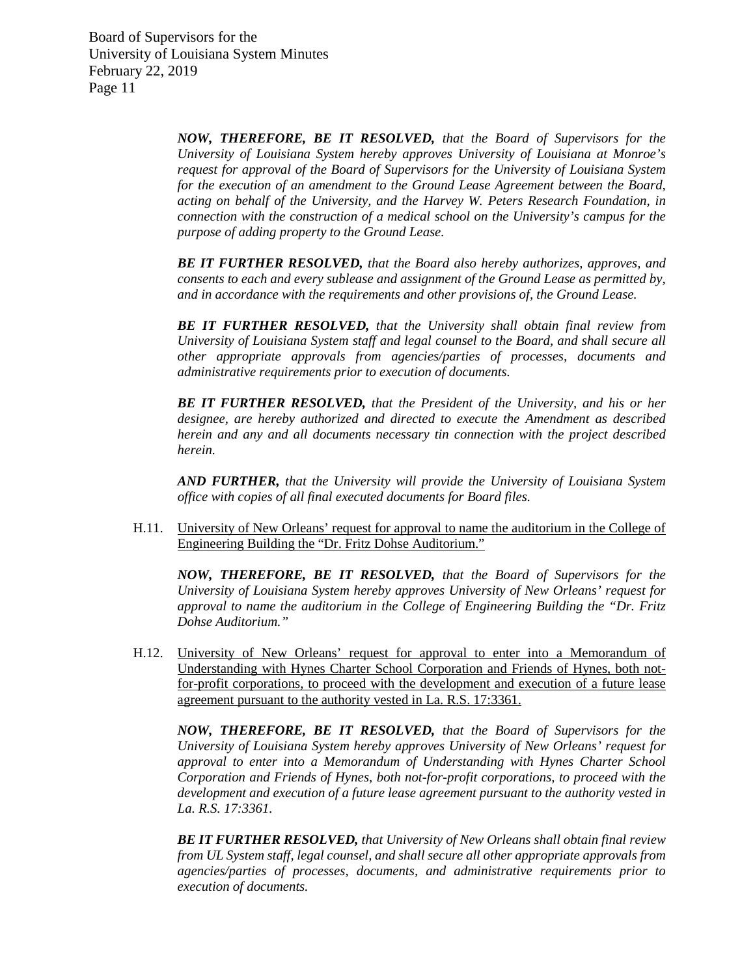> *NOW, THEREFORE, BE IT RESOLVED, that the Board of Supervisors for the University of Louisiana System hereby approves University of Louisiana at Monroe's request for approval of the Board of Supervisors for the University of Louisiana System for the execution of an amendment to the Ground Lease Agreement between the Board, acting on behalf of the University, and the Harvey W. Peters Research Foundation, in connection with the construction of a medical school on the University's campus for the purpose of adding property to the Ground Lease.*

> *BE IT FURTHER RESOLVED, that the Board also hereby authorizes, approves, and consents to each and every sublease and assignment of the Ground Lease as permitted by, and in accordance with the requirements and other provisions of, the Ground Lease.*

> *BE IT FURTHER RESOLVED, that the University shall obtain final review from University of Louisiana System staff and legal counsel to the Board, and shall secure all other appropriate approvals from agencies/parties of processes, documents and administrative requirements prior to execution of documents.*

> *BE IT FURTHER RESOLVED, that the President of the University, and his or her designee, are hereby authorized and directed to execute the Amendment as described herein and any and all documents necessary tin connection with the project described herein.*

> *AND FURTHER, that the University will provide the University of Louisiana System office with copies of all final executed documents for Board files.*

H.11. University of New Orleans' request for approval to name the auditorium in the College of Engineering Building the "Dr. Fritz Dohse Auditorium."

*NOW, THEREFORE, BE IT RESOLVED, that the Board of Supervisors for the University of Louisiana System hereby approves University of New Orleans' request for approval to name the auditorium in the College of Engineering Building the "Dr. Fritz Dohse Auditorium."*

H.12. University of New Orleans' request for approval to enter into a Memorandum of Understanding with Hynes Charter School Corporation and Friends of Hynes, both notfor-profit corporations, to proceed with the development and execution of a future lease agreement pursuant to the authority vested in La. R.S. 17:3361.

*NOW, THEREFORE, BE IT RESOLVED, that the Board of Supervisors for the University of Louisiana System hereby approves University of New Orleans' request for approval to enter into a Memorandum of Understanding with Hynes Charter School Corporation and Friends of Hynes, both not-for-profit corporations, to proceed with the development and execution of a future lease agreement pursuant to the authority vested in La. R.S. 17:3361.*

*BE IT FURTHER RESOLVED, that University of New Orleans shall obtain final review from UL System staff, legal counsel, and shall secure all other appropriate approvals from agencies/parties of processes, documents, and administrative requirements prior to execution of documents.*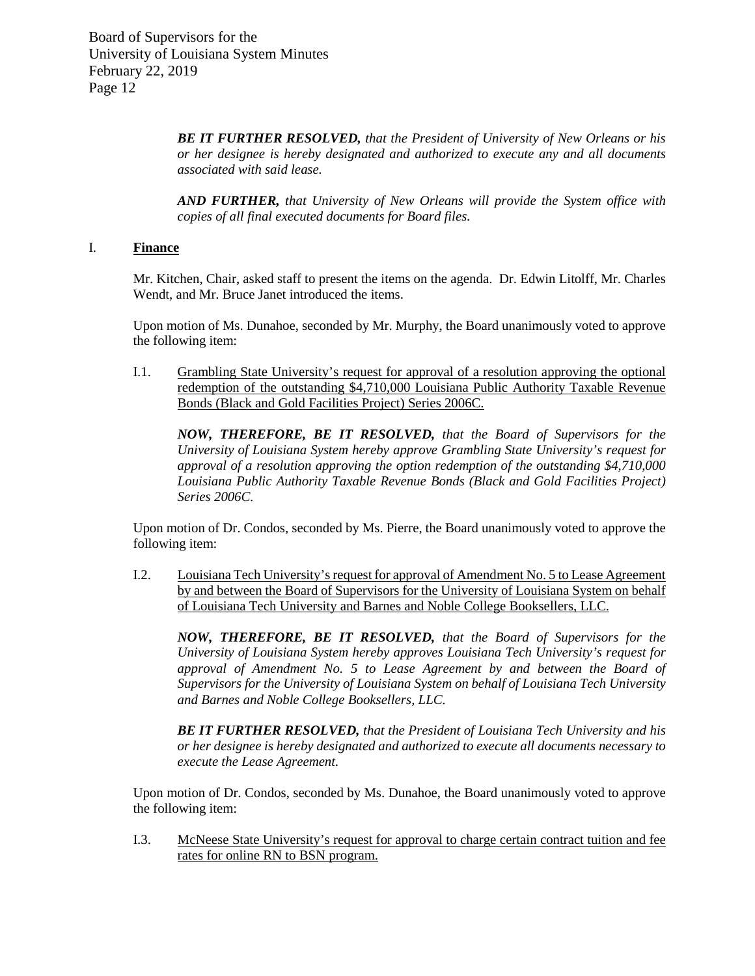> *BE IT FURTHER RESOLVED, that the President of University of New Orleans or his or her designee is hereby designated and authorized to execute any and all documents associated with said lease.*

> *AND FURTHER, that University of New Orleans will provide the System office with copies of all final executed documents for Board files.*

# I. **Finance**

Mr. Kitchen, Chair, asked staff to present the items on the agenda. Dr. Edwin Litolff, Mr. Charles Wendt, and Mr. Bruce Janet introduced the items.

Upon motion of Ms. Dunahoe, seconded by Mr. Murphy, the Board unanimously voted to approve the following item:

I.1. Grambling State University's request for approval of a resolution approving the optional redemption of the outstanding \$4,710,000 Louisiana Public Authority Taxable Revenue Bonds (Black and Gold Facilities Project) Series 2006C.

*NOW, THEREFORE, BE IT RESOLVED, that the Board of Supervisors for the University of Louisiana System hereby approve Grambling State University's request for approval of a resolution approving the option redemption of the outstanding \$4,710,000 Louisiana Public Authority Taxable Revenue Bonds (Black and Gold Facilities Project) Series 2006C.*

Upon motion of Dr. Condos, seconded by Ms. Pierre, the Board unanimously voted to approve the following item:

I.2. Louisiana Tech University's request for approval of Amendment No. 5 to Lease Agreement by and between the Board of Supervisors for the University of Louisiana System on behalf of Louisiana Tech University and Barnes and Noble College Booksellers, LLC.

*NOW, THEREFORE, BE IT RESOLVED, that the Board of Supervisors for the University of Louisiana System hereby approves Louisiana Tech University's request for approval of Amendment No. 5 to Lease Agreement by and between the Board of Supervisors for the University of Louisiana System on behalf of Louisiana Tech University and Barnes and Noble College Booksellers, LLC.*

*BE IT FURTHER RESOLVED, that the President of Louisiana Tech University and his or her designee is hereby designated and authorized to execute all documents necessary to execute the Lease Agreement.* 

Upon motion of Dr. Condos, seconded by Ms. Dunahoe, the Board unanimously voted to approve the following item:

I.3. McNeese State University's request for approval to charge certain contract tuition and fee rates for online RN to BSN program.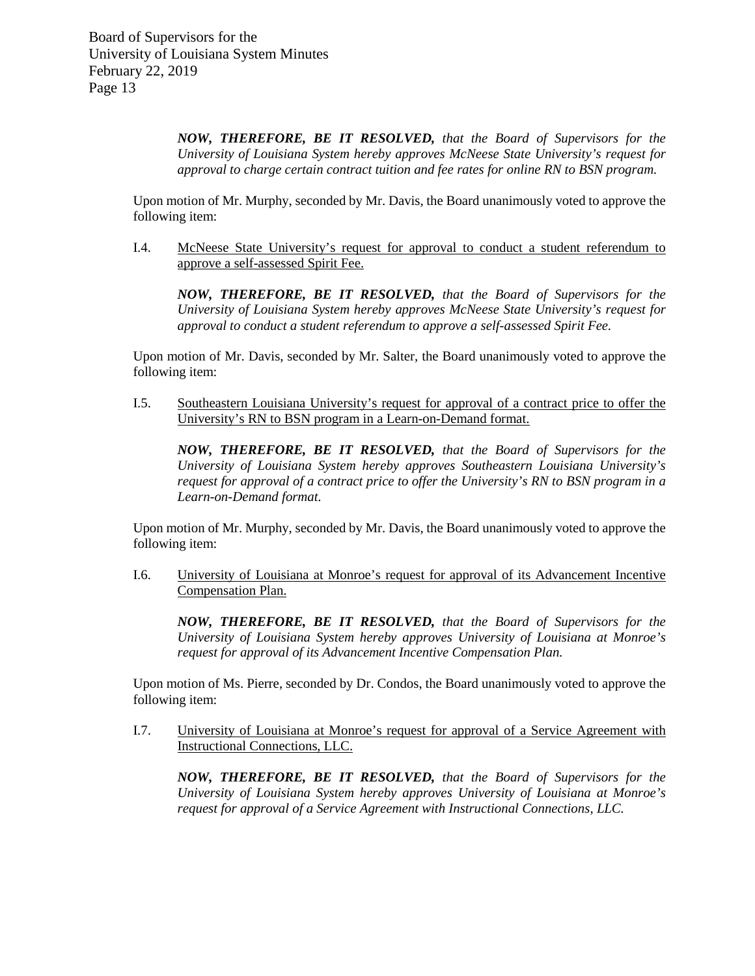*NOW, THEREFORE, BE IT RESOLVED, that the Board of Supervisors for the University of Louisiana System hereby approves McNeese State University's request for approval to charge certain contract tuition and fee rates for online RN to BSN program.* 

Upon motion of Mr. Murphy, seconded by Mr. Davis, the Board unanimously voted to approve the following item:

I.4. McNeese State University's request for approval to conduct a student referendum to approve a self-assessed Spirit Fee.

*NOW, THEREFORE, BE IT RESOLVED, that the Board of Supervisors for the University of Louisiana System hereby approves McNeese State University's request for approval to conduct a student referendum to approve a self-assessed Spirit Fee.*

Upon motion of Mr. Davis, seconded by Mr. Salter, the Board unanimously voted to approve the following item:

I.5. Southeastern Louisiana University's request for approval of a contract price to offer the University's RN to BSN program in a Learn-on-Demand format.

*NOW, THEREFORE, BE IT RESOLVED, that the Board of Supervisors for the University of Louisiana System hereby approves Southeastern Louisiana University's request for approval of a contract price to offer the University's RN to BSN program in a Learn-on-Demand format.*

Upon motion of Mr. Murphy, seconded by Mr. Davis, the Board unanimously voted to approve the following item:

I.6. University of Louisiana at Monroe's request for approval of its Advancement Incentive Compensation Plan.

*NOW, THEREFORE, BE IT RESOLVED, that the Board of Supervisors for the University of Louisiana System hereby approves University of Louisiana at Monroe's request for approval of its Advancement Incentive Compensation Plan.* 

Upon motion of Ms. Pierre, seconded by Dr. Condos, the Board unanimously voted to approve the following item:

I.7. University of Louisiana at Monroe's request for approval of a Service Agreement with Instructional Connections, LLC.

*NOW, THEREFORE, BE IT RESOLVED, that the Board of Supervisors for the University of Louisiana System hereby approves University of Louisiana at Monroe's request for approval of a Service Agreement with Instructional Connections, LLC.*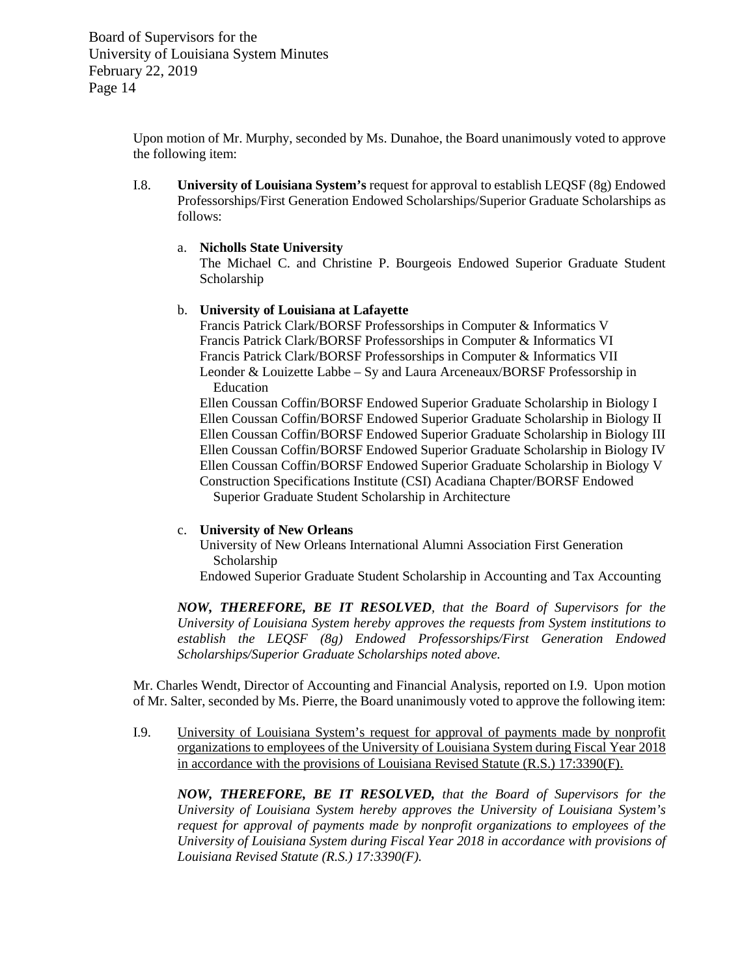> Upon motion of Mr. Murphy, seconded by Ms. Dunahoe, the Board unanimously voted to approve the following item:

> I.8. **University of Louisiana System's** request for approval to establish LEQSF (8g) Endowed Professorships/First Generation Endowed Scholarships/Superior Graduate Scholarships as follows:

## a. **Nicholls State University**

The Michael C. and Christine P. Bourgeois Endowed Superior Graduate Student Scholarship

## b. **University of Louisiana at Lafayette**

Francis Patrick Clark/BORSF Professorships in Computer & Informatics V Francis Patrick Clark/BORSF Professorships in Computer & Informatics VI Francis Patrick Clark/BORSF Professorships in Computer & Informatics VII Leonder & Louizette Labbe – Sy and Laura Arceneaux/BORSF Professorship in Education

Ellen Coussan Coffin/BORSF Endowed Superior Graduate Scholarship in Biology I Ellen Coussan Coffin/BORSF Endowed Superior Graduate Scholarship in Biology II Ellen Coussan Coffin/BORSF Endowed Superior Graduate Scholarship in Biology III Ellen Coussan Coffin/BORSF Endowed Superior Graduate Scholarship in Biology IV Ellen Coussan Coffin/BORSF Endowed Superior Graduate Scholarship in Biology V Construction Specifications Institute (CSI) Acadiana Chapter/BORSF Endowed Superior Graduate Student Scholarship in Architecture

# c. **University of New Orleans**

University of New Orleans International Alumni Association First Generation Scholarship

Endowed Superior Graduate Student Scholarship in Accounting and Tax Accounting

*NOW, THEREFORE, BE IT RESOLVED, that the Board of Supervisors for the University of Louisiana System hereby approves the requests from System institutions to establish the LEQSF (8g) Endowed Professorships/First Generation Endowed Scholarships/Superior Graduate Scholarships noted above.*

Mr. Charles Wendt, Director of Accounting and Financial Analysis, reported on I.9. Upon motion of Mr. Salter, seconded by Ms. Pierre, the Board unanimously voted to approve the following item:

I.9. University of Louisiana System's request for approval of payments made by nonprofit organizations to employees of the University of Louisiana System during Fiscal Year 2018 in accordance with the provisions of Louisiana Revised Statute (R.S.) 17:3390(F).

*NOW, THEREFORE, BE IT RESOLVED, that the Board of Supervisors for the University of Louisiana System hereby approves the University of Louisiana System's request for approval of payments made by nonprofit organizations to employees of the University of Louisiana System during Fiscal Year 2018 in accordance with provisions of Louisiana Revised Statute (R.S.) 17:3390(F).*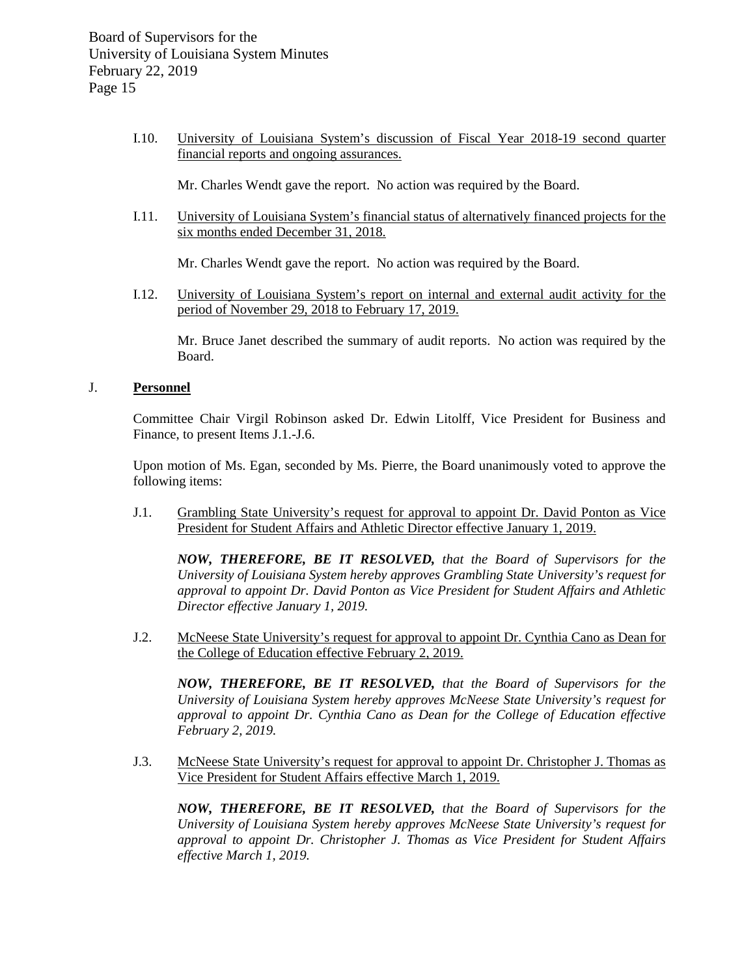I.10. University of Louisiana System's discussion of Fiscal Year 2018-19 second quarter financial reports and ongoing assurances.

Mr. Charles Wendt gave the report. No action was required by the Board.

I.11. University of Louisiana System's financial status of alternatively financed projects for the six months ended December 31, 2018.

Mr. Charles Wendt gave the report. No action was required by the Board.

I.12. University of Louisiana System's report on internal and external audit activity for the period of November 29, 2018 to February 17, 2019.

Mr. Bruce Janet described the summary of audit reports. No action was required by the Board.

## J. **Personnel**

Committee Chair Virgil Robinson asked Dr. Edwin Litolff, Vice President for Business and Finance, to present Items J.1.-J.6.

Upon motion of Ms. Egan, seconded by Ms. Pierre, the Board unanimously voted to approve the following items:

J.1. Grambling State University's request for approval to appoint Dr. David Ponton as Vice President for Student Affairs and Athletic Director effective January 1, 2019.

*NOW, THEREFORE, BE IT RESOLVED, that the Board of Supervisors for the University of Louisiana System hereby approves Grambling State University's request for approval to appoint Dr. David Ponton as Vice President for Student Affairs and Athletic Director effective January 1, 2019.*

J.2. McNeese State University's request for approval to appoint Dr. Cynthia Cano as Dean for the College of Education effective February 2, 2019.

*NOW, THEREFORE, BE IT RESOLVED, that the Board of Supervisors for the University of Louisiana System hereby approves McNeese State University's request for approval to appoint Dr. Cynthia Cano as Dean for the College of Education effective February 2, 2019.*

J.3. McNeese State University's request for approval to appoint Dr. Christopher J. Thomas as Vice President for Student Affairs effective March 1, 2019.

*NOW, THEREFORE, BE IT RESOLVED, that the Board of Supervisors for the University of Louisiana System hereby approves McNeese State University's request for approval to appoint Dr. Christopher J. Thomas as Vice President for Student Affairs effective March 1, 2019.*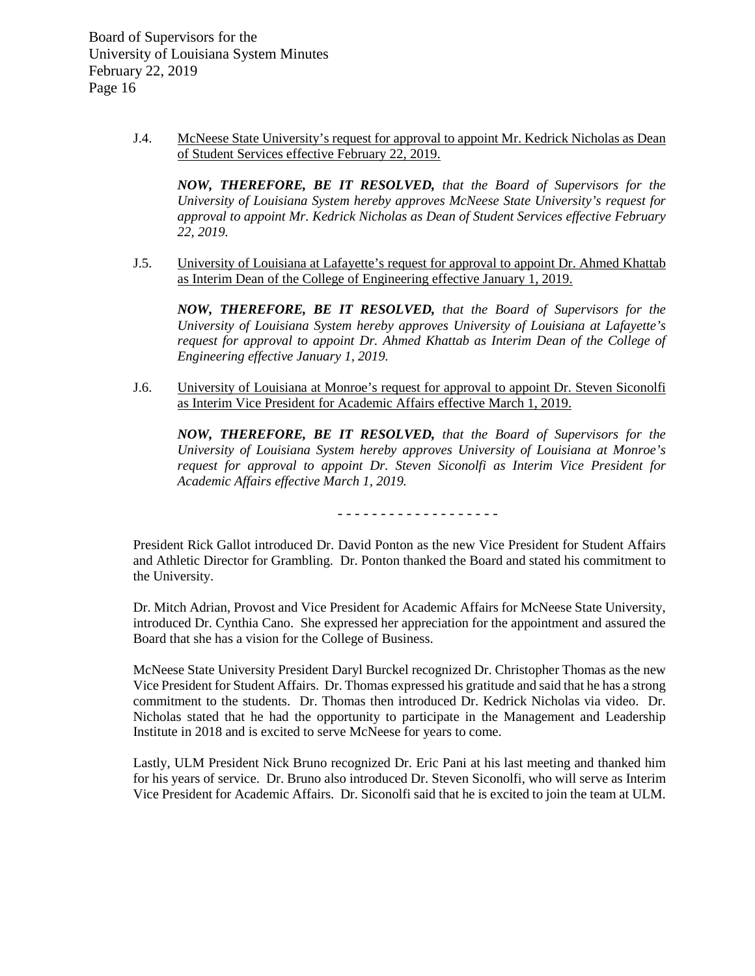> J.4. McNeese State University's request for approval to appoint Mr. Kedrick Nicholas as Dean of Student Services effective February 22, 2019.

*NOW, THEREFORE, BE IT RESOLVED, that the Board of Supervisors for the University of Louisiana System hereby approves McNeese State University's request for approval to appoint Mr. Kedrick Nicholas as Dean of Student Services effective February 22, 2019.*

J.5. University of Louisiana at Lafayette's request for approval to appoint Dr. Ahmed Khattab as Interim Dean of the College of Engineering effective January 1, 2019.

*NOW, THEREFORE, BE IT RESOLVED, that the Board of Supervisors for the University of Louisiana System hereby approves University of Louisiana at Lafayette's request for approval to appoint Dr. Ahmed Khattab as Interim Dean of the College of Engineering effective January 1, 2019.*

J.6. University of Louisiana at Monroe's request for approval to appoint Dr. Steven Siconolfi as Interim Vice President for Academic Affairs effective March 1, 2019.

*NOW, THEREFORE, BE IT RESOLVED, that the Board of Supervisors for the University of Louisiana System hereby approves University of Louisiana at Monroe's request for approval to appoint Dr. Steven Siconolfi as Interim Vice President for Academic Affairs effective March 1, 2019.*

- - - - - - - - - - - - - - - - - - -

President Rick Gallot introduced Dr. David Ponton as the new Vice President for Student Affairs and Athletic Director for Grambling. Dr. Ponton thanked the Board and stated his commitment to the University.

Dr. Mitch Adrian, Provost and Vice President for Academic Affairs for McNeese State University, introduced Dr. Cynthia Cano. She expressed her appreciation for the appointment and assured the Board that she has a vision for the College of Business.

McNeese State University President Daryl Burckel recognized Dr. Christopher Thomas as the new Vice President for Student Affairs. Dr. Thomas expressed his gratitude and said that he has a strong commitment to the students. Dr. Thomas then introduced Dr. Kedrick Nicholas via video. Dr. Nicholas stated that he had the opportunity to participate in the Management and Leadership Institute in 2018 and is excited to serve McNeese for years to come.

Lastly, ULM President Nick Bruno recognized Dr. Eric Pani at his last meeting and thanked him for his years of service. Dr. Bruno also introduced Dr. Steven Siconolfi, who will serve as Interim Vice President for Academic Affairs. Dr. Siconolfi said that he is excited to join the team at ULM.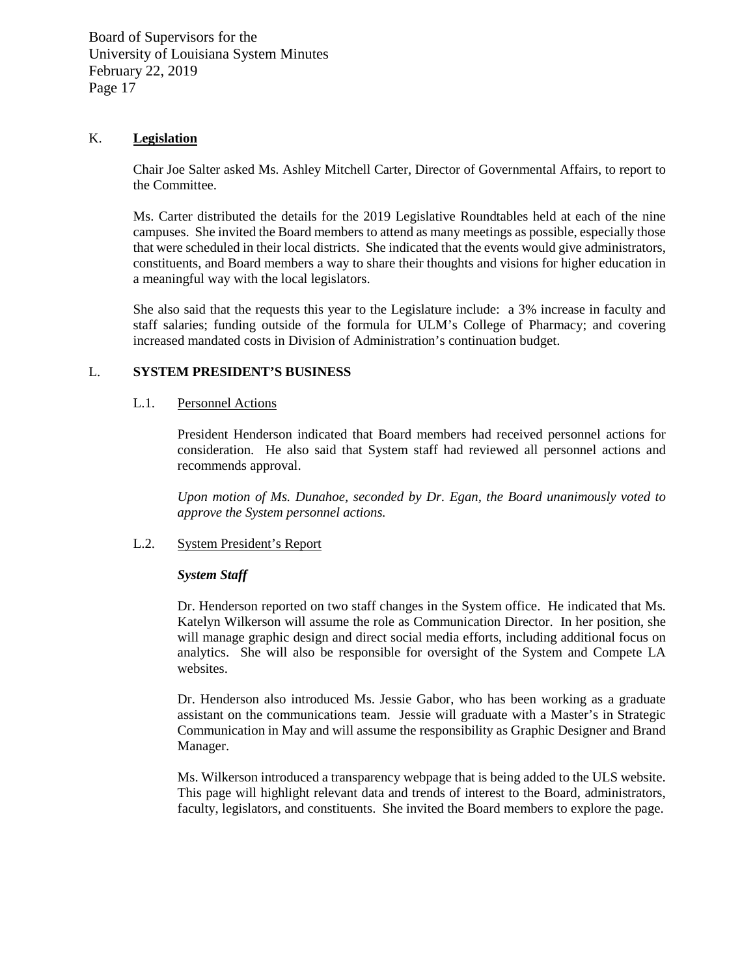# K. **Legislation**

Chair Joe Salter asked Ms. Ashley Mitchell Carter, Director of Governmental Affairs, to report to the Committee.

Ms. Carter distributed the details for the 2019 Legislative Roundtables held at each of the nine campuses. She invited the Board members to attend as many meetings as possible, especially those that were scheduled in their local districts. She indicated that the events would give administrators, constituents, and Board members a way to share their thoughts and visions for higher education in a meaningful way with the local legislators.

She also said that the requests this year to the Legislature include: a 3% increase in faculty and staff salaries; funding outside of the formula for ULM's College of Pharmacy; and covering increased mandated costs in Division of Administration's continuation budget.

## L. **SYSTEM PRESIDENT'S BUSINESS**

## L.1. Personnel Actions

President Henderson indicated that Board members had received personnel actions for consideration. He also said that System staff had reviewed all personnel actions and recommends approval.

*Upon motion of Ms. Dunahoe, seconded by Dr. Egan, the Board unanimously voted to approve the System personnel actions.*

# L.2. System President's Report

#### *System Staff*

Dr. Henderson reported on two staff changes in the System office. He indicated that Ms. Katelyn Wilkerson will assume the role as Communication Director. In her position, she will manage graphic design and direct social media efforts, including additional focus on analytics. She will also be responsible for oversight of the System and Compete LA websites.

Dr. Henderson also introduced Ms. Jessie Gabor, who has been working as a graduate assistant on the communications team. Jessie will graduate with a Master's in Strategic Communication in May and will assume the responsibility as Graphic Designer and Brand Manager.

Ms. Wilkerson introduced a transparency webpage that is being added to the ULS website. This page will highlight relevant data and trends of interest to the Board, administrators, faculty, legislators, and constituents. She invited the Board members to explore the page.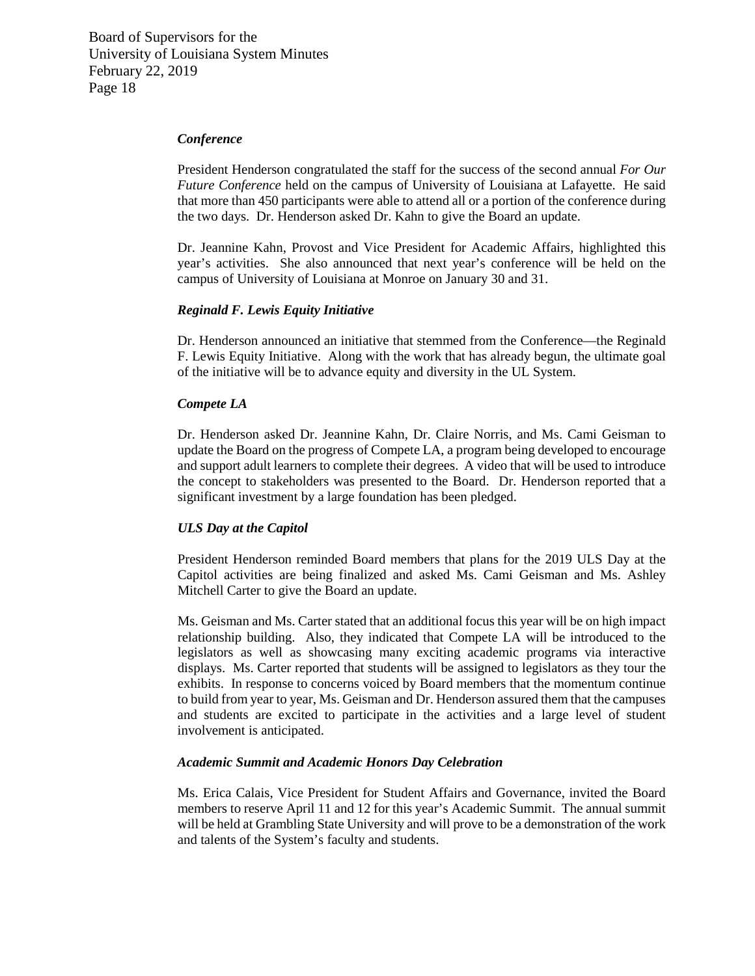#### *Conference*

President Henderson congratulated the staff for the success of the second annual *For Our Future Conference* held on the campus of University of Louisiana at Lafayette. He said that more than 450 participants were able to attend all or a portion of the conference during the two days. Dr. Henderson asked Dr. Kahn to give the Board an update.

Dr. Jeannine Kahn, Provost and Vice President for Academic Affairs, highlighted this year's activities. She also announced that next year's conference will be held on the campus of University of Louisiana at Monroe on January 30 and 31.

#### *Reginald F. Lewis Equity Initiative*

Dr. Henderson announced an initiative that stemmed from the Conference—the Reginald F. Lewis Equity Initiative. Along with the work that has already begun, the ultimate goal of the initiative will be to advance equity and diversity in the UL System.

#### *Compete LA*

Dr. Henderson asked Dr. Jeannine Kahn, Dr. Claire Norris, and Ms. Cami Geisman to update the Board on the progress of Compete LA, a program being developed to encourage and support adult learners to complete their degrees. A video that will be used to introduce the concept to stakeholders was presented to the Board. Dr. Henderson reported that a significant investment by a large foundation has been pledged.

#### *ULS Day at the Capitol*

President Henderson reminded Board members that plans for the 2019 ULS Day at the Capitol activities are being finalized and asked Ms. Cami Geisman and Ms. Ashley Mitchell Carter to give the Board an update.

Ms. Geisman and Ms. Carter stated that an additional focus this year will be on high impact relationship building. Also, they indicated that Compete LA will be introduced to the legislators as well as showcasing many exciting academic programs via interactive displays. Ms. Carter reported that students will be assigned to legislators as they tour the exhibits. In response to concerns voiced by Board members that the momentum continue to build from year to year, Ms. Geisman and Dr. Henderson assured them that the campuses and students are excited to participate in the activities and a large level of student involvement is anticipated.

#### *Academic Summit and Academic Honors Day Celebration*

Ms. Erica Calais, Vice President for Student Affairs and Governance, invited the Board members to reserve April 11 and 12 for this year's Academic Summit. The annual summit will be held at Grambling State University and will prove to be a demonstration of the work and talents of the System's faculty and students.